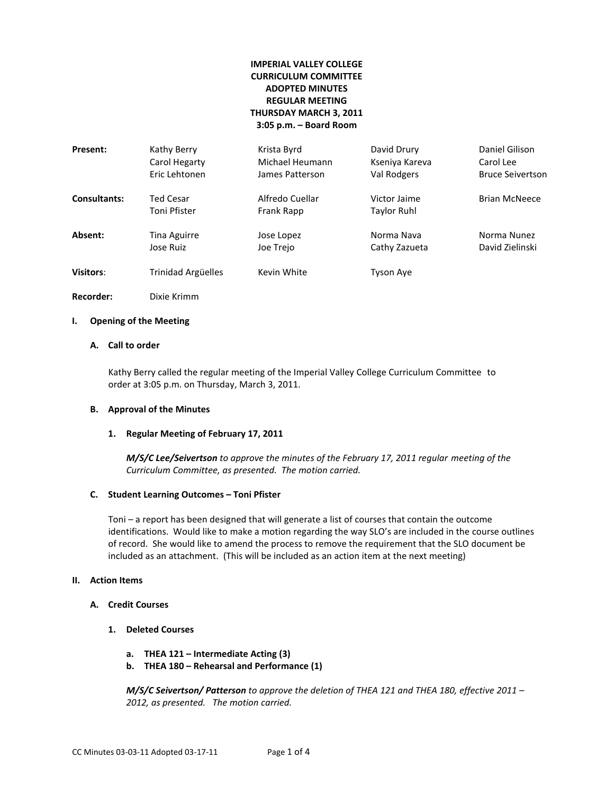# **IMPERIAL VALLEY COLLEGE CURRICULUM COMMITTEE ADOPTED MINUTES REGULAR MEETING THURSDAY MARCH 3, 2011 3:05 p.m. – Board Room**

| Present:            | Kathy Berry                      | Krista Byrd                   | David Drury                 | Daniel Gilison          |
|---------------------|----------------------------------|-------------------------------|-----------------------------|-------------------------|
|                     | Carol Hegarty                    | Michael Heumann               | Kseniya Kareva              | Carol Lee               |
|                     | Eric Lehtonen                    | James Patterson               | Val Rodgers                 | <b>Bruce Seivertson</b> |
| <b>Consultants:</b> | <b>Ted Cesar</b><br>Toni Pfister | Alfredo Cuellar<br>Frank Rapp | Victor Jaime<br>Taylor Ruhl | <b>Brian McNeece</b>    |
| Absent:             | Tina Aguirre                     | Jose Lopez                    | Norma Nava                  | Norma Nunez             |
|                     | Jose Ruiz                        | Joe Trejo                     | Cathy Zazueta               | David Zielinski         |
| <b>Visitors:</b>    | Trinidad Argüelles               | Kevin White                   | <b>Tyson Aye</b>            |                         |

**Recorder:** Dixie Krimm

### **I. Opening of the Meeting**

### **A. Call to order**

Kathy Berry called the regular meeting of the Imperial Valley College Curriculum Committee to order at 3:05 p.m. on Thursday, March 3, 2011.

### **B. Approval of the Minutes**

#### **1. Regular Meeting of February 17, 2011**

*M/S/C Lee/Seivertson to approve the minutes of the February 17, 2011 regular meeting of the Curriculum Committee, as presented. The motion carried.*

#### **C. Student Learning Outcomes – Toni Pfister**

Toni – a report has been designed that will generate a list of courses that contain the outcome identifications. Would like to make a motion regarding the way SLO's are included in the course outlines of record. She would like to amend the process to remove the requirement that the SLO document be included as an attachment. (This will be included as an action item at the next meeting)

### **II. Action Items**

### **A. Credit Courses**

- **1. Deleted Courses**
	- **a. THEA 121 – Intermediate Acting (3)**
	- **b. THEA 180 – Rehearsal and Performance (1)**

*M/S/C Seivertson/ Patterson to approve the deletion of THEA 121 and THEA 180, effective 2011 – 2012, as presented. The motion carried.*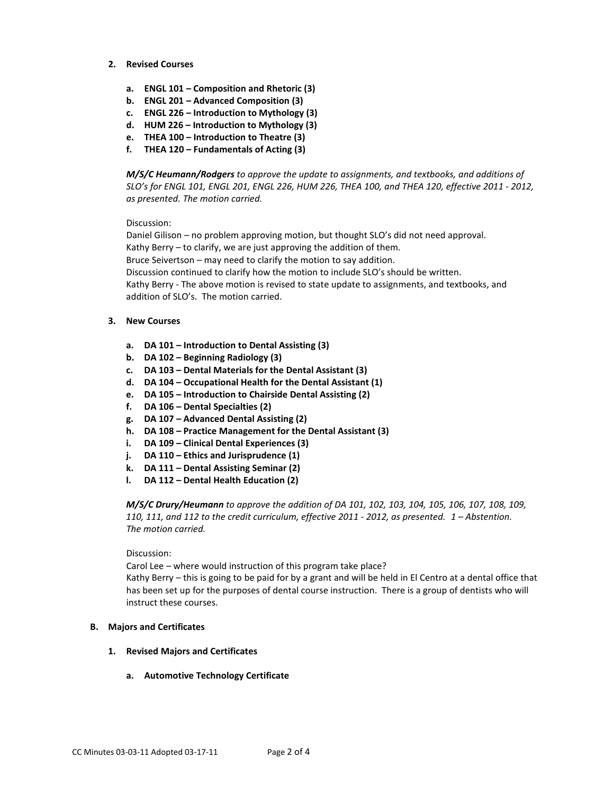- **2. Revised Courses**
	- **a. ENGL 101 – Composition and Rhetoric (3)**
	- **b. ENGL 201 – Advanced Composition (3)**
	- **c. ENGL 226 – Introduction to Mythology (3)**
	- **d. HUM 226 – Introduction to Mythology (3)**
	- **e. THEA 100 – Introduction to Theatre (3)**
	- **f. THEA 120 – Fundamentals of Acting (3)**

*M/S/C Heumann/Rodgers to approve the update to assignments, and textbooks, and additions of SLO's for ENGL 101, ENGL 201, ENGL 226, HUM 226, THEA 100, and THEA 120, effective 2011 - 2012, as presented. The motion carried.*

Discussion:

Daniel Gilison – no problem approving motion, but thought SLO's did not need approval. Kathy Berry – to clarify, we are just approving the addition of them. Bruce Seivertson – may need to clarify the motion to say addition. Discussion continued to clarify how the motion to include SLO's should be written. Kathy Berry - The above motion is revised to state update to assignments, and textbooks, and addition of SLO's. The motion carried.

- **3. New Courses**
	- **a. DA 101 – Introduction to Dental Assisting (3)**
	- **b. DA 102 – Beginning Radiology (3)**
	- **c. DA 103 – Dental Materials for the Dental Assistant (3)**
	- **d. DA 104 – Occupational Health for the Dental Assistant (1)**
	- **e. DA 105 – Introduction to Chairside Dental Assisting (2)**
	- **f. DA 106 – Dental Specialties (2)**
	- **g. DA 107 – Advanced Dental Assisting (2)**
	- **h. DA 108 – Practice Management for the Dental Assistant (3)**
	- **i. DA 109 – Clinical Dental Experiences (3)**
	- **j. DA 110 – Ethics and Jurisprudence (1)**
	- **k. DA 111 – Dental Assisting Seminar (2)**
	- **l. DA 112 – Dental Health Education (2)**

*M/S/C Drury/Heumann to approve the addition of DA 101, 102, 103, 104, 105, 106, 107, 108, 109, 110, 111, and 112 to the credit curriculum, effective 2011 - 2012, as presented. 1 – Abstention. The motion carried.*

Discussion:

Carol Lee – where would instruction of this program take place?

Kathy Berry – this is going to be paid for by a grant and will be held in El Centro at a dental office that has been set up for the purposes of dental course instruction. There is a group of dentists who will instruct these courses.

## **B. Majors and Certificates**

- **1. Revised Majors and Certificates**
	- **a. Automotive Technology Certificate**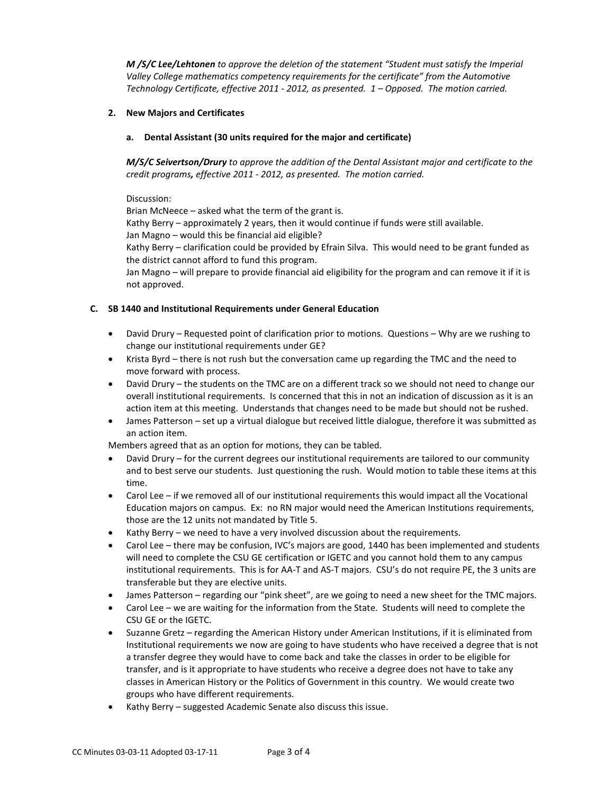*M* /S/C Lee/Lehtonen to approve the deletion of the statement "Student must satisfy the Imperial *Valley College mathematics competency requirements for the certificate" from the Automotive Technology Certificate, effective 2011 - 2012, as presented. 1 – Opposed. The motion carried.*

# **2. New Majors and Certificates**

# **a. Dental Assistant (30 units required for the major and certificate)**

*M/S/C Seivertson/Drury to approve the addition of the Dental Assistant major and certificate to the credit programs, effective 2011 - 2012, as presented. The motion carried.*

Discussion:

Brian McNeece – asked what the term of the grant is. Kathy Berry – approximately 2 years, then it would continue if funds were still available. Jan Magno – would this be financial aid eligible? Kathy Berry – clarification could be provided by Efrain Silva. This would need to be grant funded as the district cannot afford to fund this program.

Jan Magno – will prepare to provide financial aid eligibility for the program and can remove it if it is not approved.

## **C. SB 1440 and Institutional Requirements under General Education**

- David Drury Requested point of clarification prior to motions. Questions Why are we rushing to change our institutional requirements under GE?
- Krista Byrd there is not rush but the conversation came up regarding the TMC and the need to move forward with process.
- David Drury the students on the TMC are on a different track so we should not need to change our overall institutional requirements. Is concerned that this in not an indication of discussion as it is an action item at this meeting. Understands that changes need to be made but should not be rushed.
- James Patterson set up a virtual dialogue but received little dialogue, therefore it was submitted as an action item.

Members agreed that as an option for motions, they can be tabled.

- David Drury for the current degrees our institutional requirements are tailored to our community and to best serve our students. Just questioning the rush. Would motion to table these items at this time.
- Carol Lee if we removed all of our institutional requirements this would impact all the Vocational Education majors on campus. Ex: no RN major would need the American Institutions requirements, those are the 12 units not mandated by Title 5.
- Kathy Berry we need to have a very involved discussion about the requirements.
- Carol Lee there may be confusion, IVC's majors are good, 1440 has been implemented and students will need to complete the CSU GE certification or IGETC and you cannot hold them to any campus institutional requirements. This is for AA-T and AS-T majors. CSU's do not require PE, the 3 units are transferable but they are elective units.
- James Patterson regarding our "pink sheet", are we going to need a new sheet for the TMC majors.
- Carol Lee we are waiting for the information from the State. Students will need to complete the CSU GE or the IGETC.
- Suzanne Gretz regarding the American History under American Institutions, if it is eliminated from Institutional requirements we now are going to have students who have received a degree that is not a transfer degree they would have to come back and take the classes in order to be eligible for transfer, and is it appropriate to have students who receive a degree does not have to take any classes in American History or the Politics of Government in this country. We would create two groups who have different requirements.
- Kathy Berry suggested Academic Senate also discuss this issue.